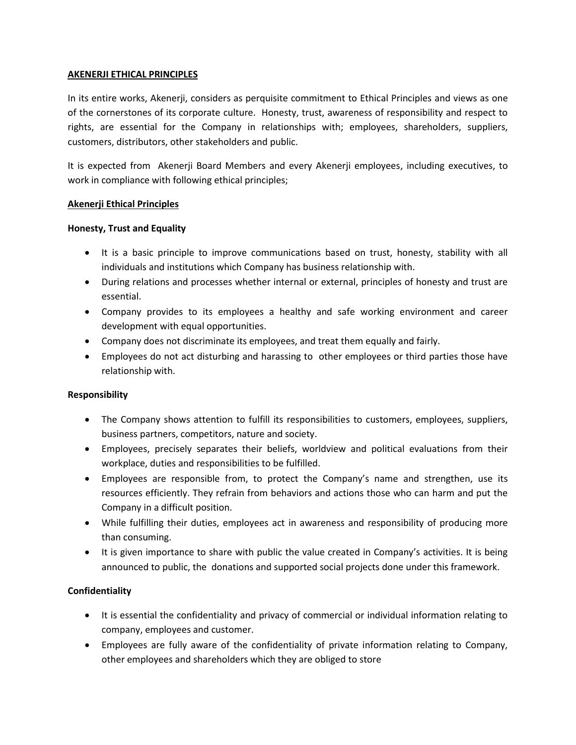## **AKENERJI ETHICAL PRINCIPLES**

In its entire works, Akenerji, considers as perquisite commitment to Ethical Principles and views as one of the cornerstones of its corporate culture. Honesty, trust, awareness of responsibility and respect to rights, are essential for the Company in relationships with; employees, shareholders, suppliers, customers, distributors, other stakeholders and public.

It is expected from Akenerji Board Members and every Akenerji employees, including executives, to work in compliance with following ethical principles;

## **Akenerji Ethical Principles**

### **Honesty, Trust and Equality**

- It is a basic principle to improve communications based on trust, honesty, stability with all individuals and institutions which Company has business relationship with.
- During relations and processes whether internal or external, principles of honesty and trust are essential.
- Company provides to its employees a healthy and safe working environment and career development with equal opportunities.
- Company does not discriminate its employees, and treat them equally and fairly.
- Employees do not act disturbing and harassing to other employees or third parties those have relationship with.

### **Responsibility**

- The Company shows attention to fulfill its responsibilities to customers, employees, suppliers, business partners, competitors, nature and society.
- Employees, precisely separates their beliefs, worldview and political evaluations from their workplace, duties and responsibilities to be fulfilled.
- Employees are responsible from, to protect the Company's name and strengthen, use its resources efficiently. They refrain from behaviors and actions those who can harm and put the Company in a difficult position.
- While fulfilling their duties, employees act in awareness and responsibility of producing more than consuming.
- It is given importance to share with public the value created in Company's activities. It is being announced to public, the donations and supported social projects done under this framework.

# **Confidentiality**

- It is essential the confidentiality and privacy of commercial or individual information relating to company, employees and customer.
- Employees are fully aware of the confidentiality of private information relating to Company, other employees and shareholders which they are obliged to store